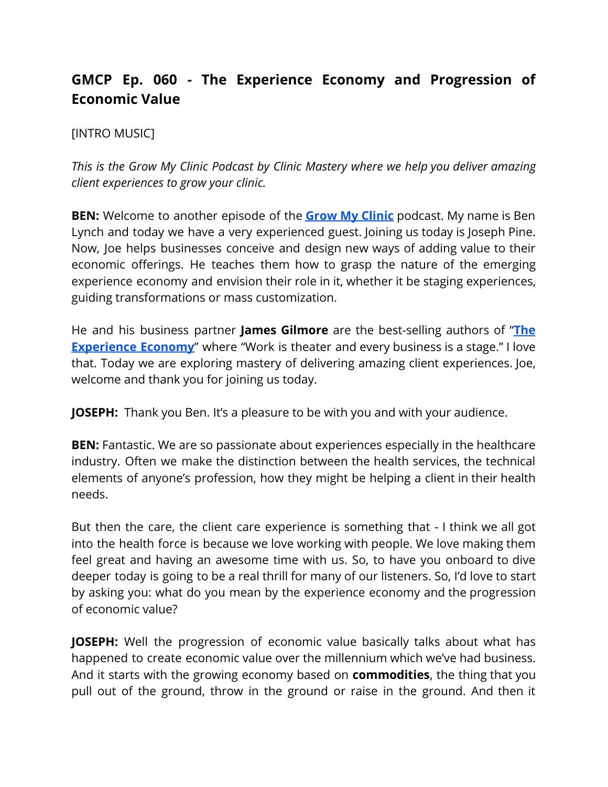## **GMCP Ep. 060 - The Experience Economy and Progression of Economic Value**

## [INTRO MUSIC]

*This is the Grow My Clinic Podcast by Clinic Mastery where we help you deliver amazing client experiences to grow your clinic.*

**BEN:** Welcome to another episode of th[e](https://www.clinicmastery.com/growmyclinic) **Grow My [Clinic](https://www.clinicmastery.com/growmyclinic)** podcast. My name is Ben Lynch and today we have a very experienced guest. Joining us today is Joseph Pine. Now, Joe helps businesses conceive and design new ways of adding value to their economic offerings. He teaches them how to grasp the nature of the emerging experience economy and envision their role in it, whether it be staging experiences, guiding transformations or mass customization.

He and his business partner **James Gilmore** are the best-selling authors of "**[The](https://www.amazon.com/Experience-Economy-Updated-Joseph-Pine/dp/1422161978) [Experience](https://www.amazon.com/Experience-Economy-Updated-Joseph-Pine/dp/1422161978) Economy**" where "Work is theater and every business is a stage." I love that. Today we are exploring mastery of delivering amazing client experiences. Joe, welcome and thank you for joining us today.

**JOSEPH:** Thank you Ben. It's a pleasure to be with you and with your audience.

**BEN:** Fantastic. We are so passionate about experiences especially in the healthcare industry. Often we make the distinction between the health services, the technical elements of anyone's profession, how they might be helping a client in their health needs.

But then the care, the client care experience is something that - I think we all got into the health force is because we love working with people. We love making them feel great and having an awesome time with us. So, to have you onboard to dive deeper today is going to be a real thrill for many of our listeners. So, I'd love to start by asking you: what do you mean by the experience economy and the progression of economic value?

**JOSEPH:** Well the progression of economic value basically talks about what has happened to create economic value over the millennium which we've had business. And it starts with the growing economy based on **commodities**, the thing that you pull out of the ground, throw in the ground or raise in the ground. And then it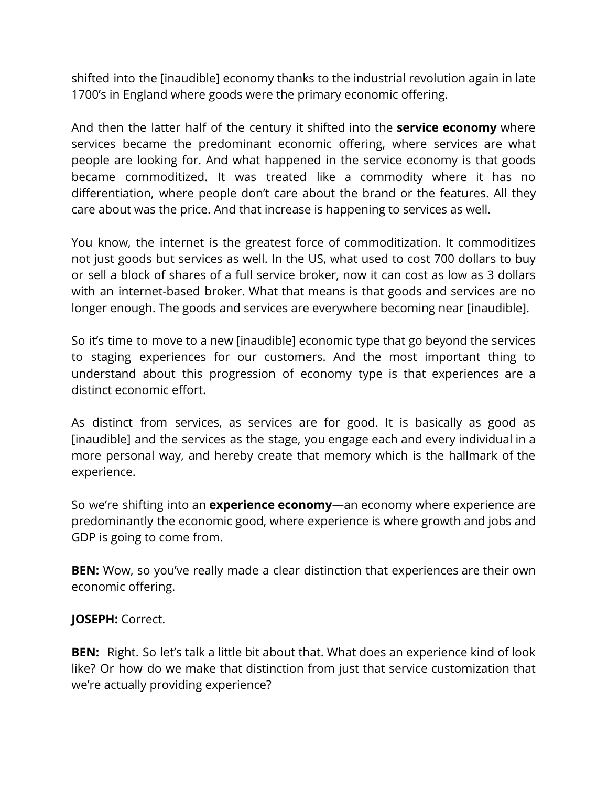shifted into the [inaudible] economy thanks to the industrial revolution again in late 1700's in England where goods were the primary economic offering.

And then the latter half of the century it shifted into the **service economy** where services became the predominant economic offering, where services are what people are looking for. And what happened in the service economy is that goods became commoditized. It was treated like a commodity where it has no differentiation, where people don't care about the brand or the features. All they care about was the price. And that increase is happening to services as well.

You know, the internet is the greatest force of commoditization. It commoditizes not just goods but services as well. In the US, what used to cost 700 dollars to buy or sell a block of shares of a full service broker, now it can cost as low as 3 dollars with an internet-based broker. What that means is that goods and services are no longer enough. The goods and services are everywhere becoming near [inaudible].

So it's time to move to a new [inaudible] economic type that go beyond the services to staging experiences for our customers. And the most important thing to understand about this progression of economy type is that experiences are a distinct economic effort.

As distinct from services, as services are for good. It is basically as good as [inaudible] and the services as the stage, you engage each and every individual in a more personal way, and hereby create that memory which is the hallmark of the experience.

So we're shifting into an **experience economy**—an economy where experience are predominantly the economic good, where experience is where growth and jobs and GDP is going to come from.

**BEN:** Wow, so you've really made a clear distinction that experiences are their own economic offering.

## **JOSEPH:** Correct.

**BEN:** Right. So let's talk a little bit about that. What does an experience kind of look like? Or how do we make that distinction from just that service customization that we're actually providing experience?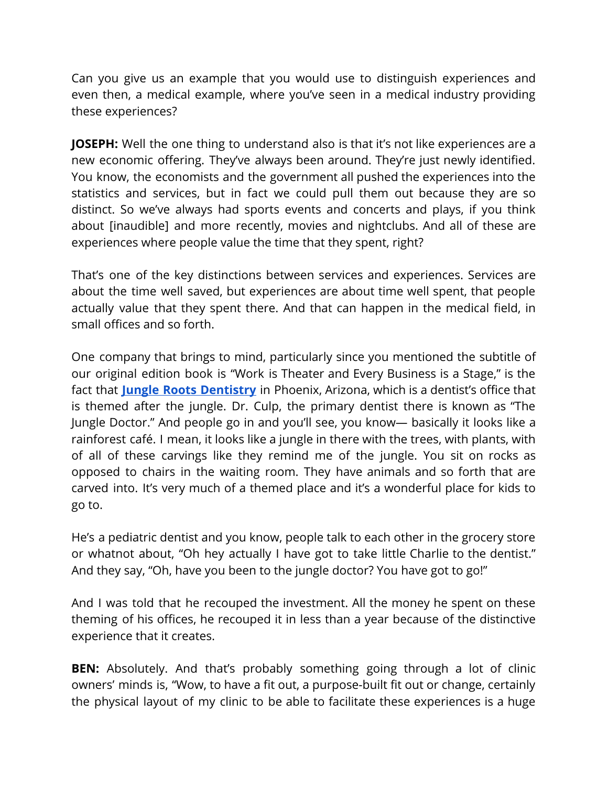Can you give us an example that you would use to distinguish experiences and even then, a medical example, where you've seen in a medical industry providing these experiences?

**JOSEPH:** Well the one thing to understand also is that it's not like experiences are a new economic offering. They've always been around. They're just newly identified. You know, the economists and the government all pushed the experiences into the statistics and services, but in fact we could pull them out because they are so distinct. So we've always had sports events and concerts and plays, if you think about [inaudible] and more recently, movies and nightclubs. And all of these are experiences where people value the time that they spent, right?

That's one of the key distinctions between services and experiences. Services are about the time well saved, but experiences are about time well spent, that people actually value that they spent there. And that can happen in the medical field, in small offices and so forth.

One company that brings to mind, particularly since you mentioned the subtitle of our original edition book is "Work is Theater and Every Business is a Stage," is the fact that **Jungle Roots [Dentistry](https://www.jungleroots.com/)** in Phoenix, Arizona, which is a dentist's office that is themed after the jungle. Dr. Culp, the primary dentist there is known as "The Jungle Doctor." And people go in and you'll see, you know— basically it looks like a rainforest café. I mean, it looks like a jungle in there with the trees, with plants, with of all of these carvings like they remind me of the jungle. You sit on rocks as opposed to chairs in the waiting room. They have animals and so forth that are carved into. It's very much of a themed place and it's a wonderful place for kids to go to.

He's a pediatric dentist and you know, people talk to each other in the grocery store or whatnot about, "Oh hey actually I have got to take little Charlie to the dentist." And they say, "Oh, have you been to the jungle doctor? You have got to go!"

And I was told that he recouped the investment. All the money he spent on these theming of his offices, he recouped it in less than a year because of the distinctive experience that it creates.

**BEN:** Absolutely. And that's probably something going through a lot of clinic owners' minds is, "Wow, to have a fit out, a purpose-built fit out or change, certainly the physical layout of my clinic to be able to facilitate these experiences is a huge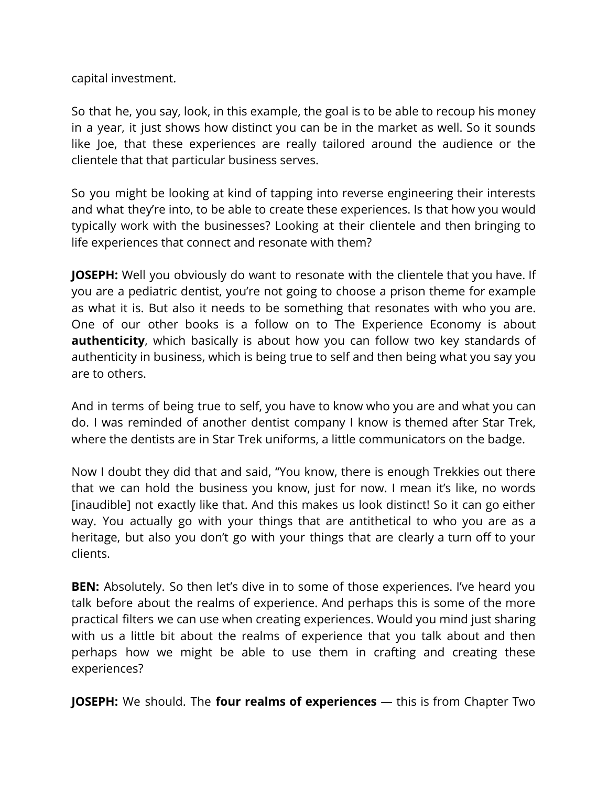capital investment.

So that he, you say, look, in this example, the goal is to be able to recoup his money in a year, it just shows how distinct you can be in the market as well. So it sounds like Joe, that these experiences are really tailored around the audience or the clientele that that particular business serves.

So you might be looking at kind of tapping into reverse engineering their interests and what they're into, to be able to create these experiences. Is that how you would typically work with the businesses? Looking at their clientele and then bringing to life experiences that connect and resonate with them?

**JOSEPH:** Well you obviously do want to resonate with the clientele that you have. If you are a pediatric dentist, you're not going to choose a prison theme for example as what it is. But also it needs to be something that resonates with who you are. One of our other books is a follow on to The Experience Economy is about **authenticity**, which basically is about how you can follow two key standards of authenticity in business, which is being true to self and then being what you say you are to others.

And in terms of being true to self, you have to know who you are and what you can do. I was reminded of another dentist company I know is themed after Star Trek, where the dentists are in Star Trek uniforms, a little communicators on the badge.

Now I doubt they did that and said, "You know, there is enough Trekkies out there that we can hold the business you know, just for now. I mean it's like, no words [inaudible] not exactly like that. And this makes us look distinct! So it can go either way. You actually go with your things that are antithetical to who you are as a heritage, but also you don't go with your things that are clearly a turn off to your clients.

**BEN:** Absolutely. So then let's dive in to some of those experiences. I've heard you talk before about the realms of experience. And perhaps this is some of the more practical filters we can use when creating experiences. Would you mind just sharing with us a little bit about the realms of experience that you talk about and then perhaps how we might be able to use them in crafting and creating these experiences?

**JOSEPH:** We should. The **four realms of experiences** — this is from Chapter Two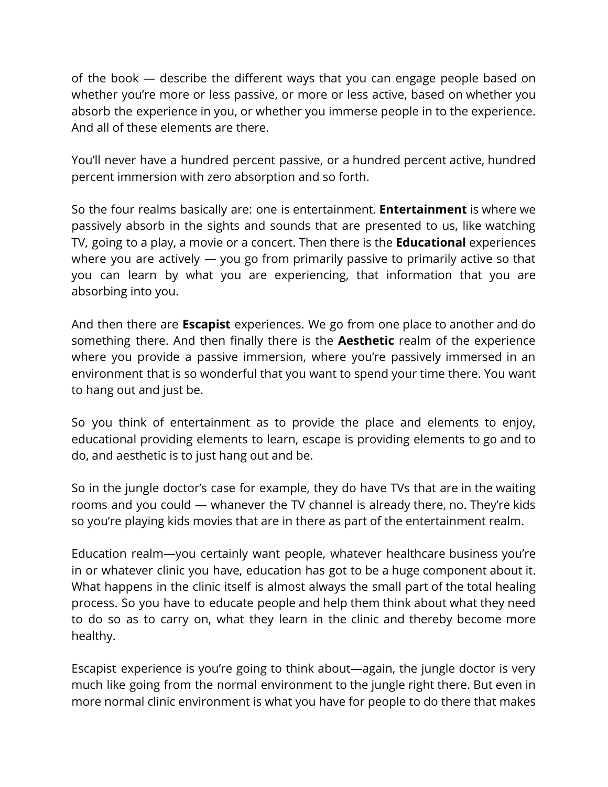of the book — describe the different ways that you can engage people based on whether you're more or less passive, or more or less active, based on whether you absorb the experience in you, or whether you immerse people in to the experience. And all of these elements are there.

You'll never have a hundred percent passive, or a hundred percent active, hundred percent immersion with zero absorption and so forth.

So the four realms basically are: one is entertainment. **Entertainment** is where we passively absorb in the sights and sounds that are presented to us, like watching TV, going to a play, a movie or a concert. Then there is the **Educational** experiences where you are actively — you go from primarily passive to primarily active so that you can learn by what you are experiencing, that information that you are absorbing into you.

And then there are **Escapist** experiences. We go from one place to another and do something there. And then finally there is the **Aesthetic** realm of the experience where you provide a passive immersion, where you're passively immersed in an environment that is so wonderful that you want to spend your time there. You want to hang out and just be.

So you think of entertainment as to provide the place and elements to enjoy, educational providing elements to learn, escape is providing elements to go and to do, and aesthetic is to just hang out and be.

So in the jungle doctor's case for example, they do have TVs that are in the waiting rooms and you could — whanever the TV channel is already there, no. They're kids so you're playing kids movies that are in there as part of the entertainment realm.

Education realm—you certainly want people, whatever healthcare business you're in or whatever clinic you have, education has got to be a huge component about it. What happens in the clinic itself is almost always the small part of the total healing process. So you have to educate people and help them think about what they need to do so as to carry on, what they learn in the clinic and thereby become more healthy.

Escapist experience is you're going to think about—again, the jungle doctor is very much like going from the normal environment to the jungle right there. But even in more normal clinic environment is what you have for people to do there that makes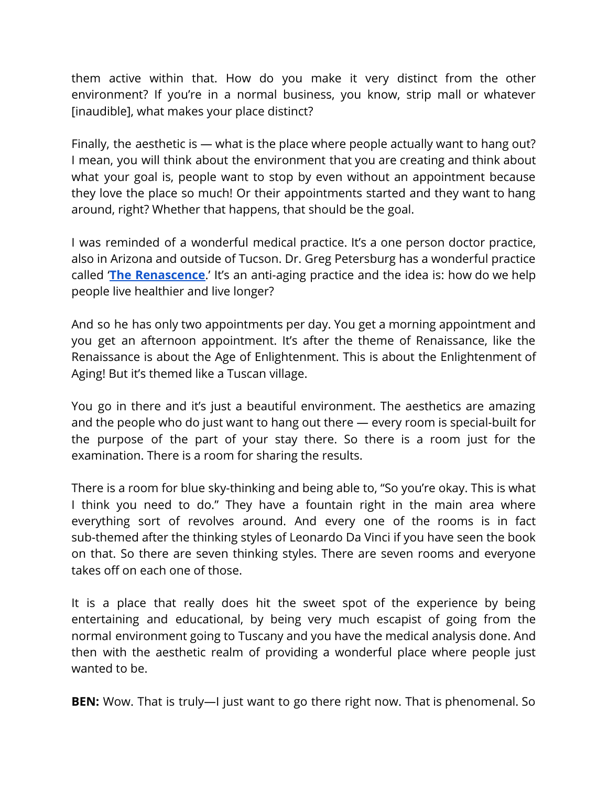them active within that. How do you make it very distinct from the other environment? If you're in a normal business, you know, strip mall or whatever [inaudible], what makes your place distinct?

Finally, the aesthetic is — what is the place where people actually want to hang out? I mean, you will think about the environment that you are creating and think about what your goal is, people want to stop by even without an appointment because they love the place so much! Or their appointments started and they want to hang around, right? Whether that happens, that should be the goal.

I was reminded of a wonderful medical practice. It's a one person doctor practice, also in Arizona and outside of Tucson. Dr. Greg Petersburg has a wonderful practice called '**The [Renascence](https://www.renascenceaging.com/)**.' It's an anti-aging practice and the idea is: how do we help people live healthier and live longer?

And so he has only two appointments per day. You get a morning appointment and you get an afternoon appointment. It's after the theme of Renaissance, like the Renaissance is about the Age of Enlightenment. This is about the Enlightenment of Aging! But it's themed like a Tuscan village.

You go in there and it's just a beautiful environment. The aesthetics are amazing and the people who do just want to hang out there — every room is special-built for the purpose of the part of your stay there. So there is a room just for the examination. There is a room for sharing the results.

There is a room for blue sky-thinking and being able to, "So you're okay. This is what I think you need to do." They have a fountain right in the main area where everything sort of revolves around. And every one of the rooms is in fact sub-themed after the thinking styles of Leonardo Da Vinci if you have seen the book on that. So there are seven thinking styles. There are seven rooms and everyone takes off on each one of those.

It is a place that really does hit the sweet spot of the experience by being entertaining and educational, by being very much escapist of going from the normal environment going to Tuscany and you have the medical analysis done. And then with the aesthetic realm of providing a wonderful place where people just wanted to be.

**BEN:** Wow. That is truly—I just want to go there right now. That is phenomenal. So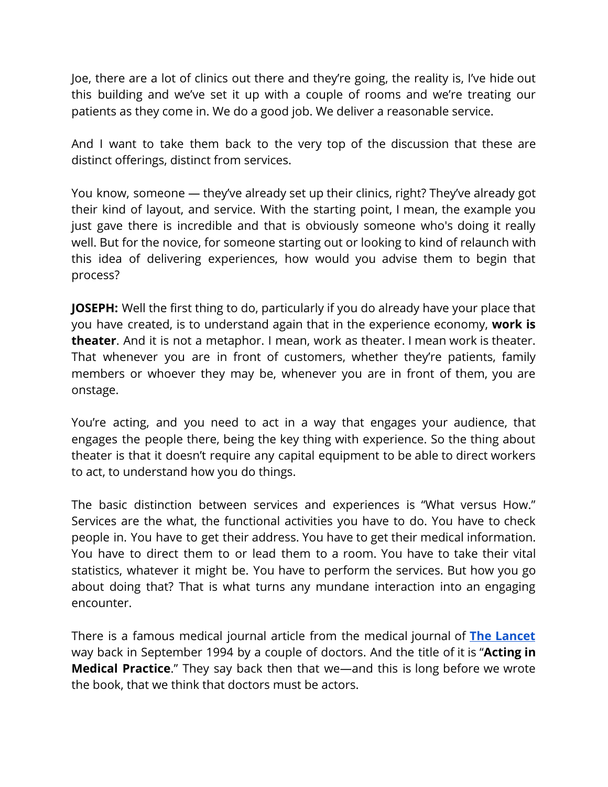Joe, there are a lot of clinics out there and they're going, the reality is, I've hide out this building and we've set it up with a couple of rooms and we're treating our patients as they come in. We do a good job. We deliver a reasonable service.

And I want to take them back to the very top of the discussion that these are distinct offerings, distinct from services.

You know, someone — they've already set up their clinics, right? They've already got their kind of layout, and service. With the starting point, I mean, the example you just gave there is incredible and that is obviously someone who's doing it really well. But for the novice, for someone starting out or looking to kind of relaunch with this idea of delivering experiences, how would you advise them to begin that process?

**JOSEPH:** Well the first thing to do, particularly if you do already have your place that you have created, is to understand again that in the experience economy, **work is theater**. And it is not a metaphor. I mean, work as theater. I mean work is theater. That whenever you are in front of customers, whether they're patients, family members or whoever they may be, whenever you are in front of them, you are onstage.

You're acting, and you need to act in a way that engages your audience, that engages the people there, being the key thing with experience. So the thing about theater is that it doesn't require any capital equipment to be able to direct workers to act, to understand how you do things.

The basic distinction between services and experiences is "What versus How." Services are the what, the functional activities you have to do. You have to check people in. You have to get their address. You have to get their medical information. You have to direct them to or lead them to a room. You have to take their vital statistics, whatever it might be. You have to perform the services. But how you go about doing that? That is what turns any mundane interaction into an engaging encounter.

There is a famous medical journal article from the medical journal of **The [Lancet](https://www.thelancet.com/)** way back in September 1994 by a couple of doctors. And the title of it is "**Acting in Medical Practice**." They say back then that we—and this is long before we wrote the book, that we think that doctors must be actors.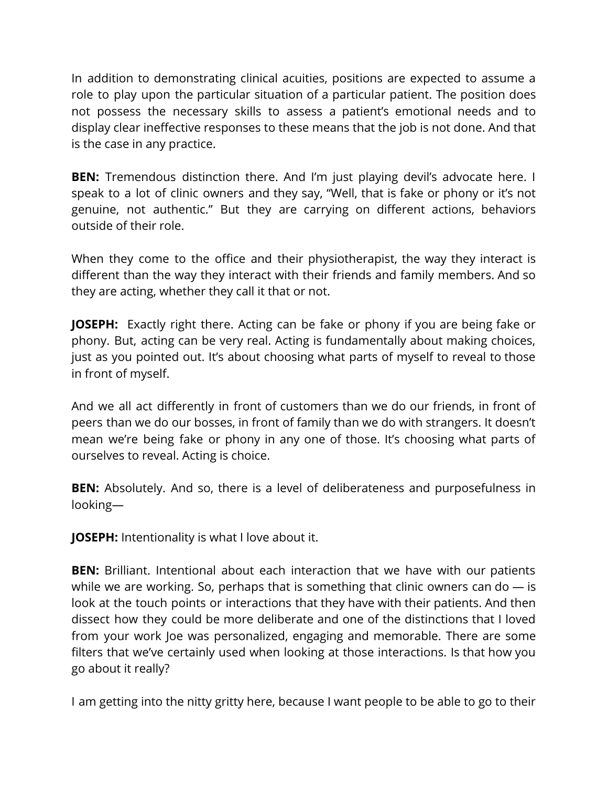In addition to demonstrating clinical acuities, positions are expected to assume a role to play upon the particular situation of a particular patient. The position does not possess the necessary skills to assess a patient's emotional needs and to display clear ineffective responses to these means that the job is not done. And that is the case in any practice.

**BEN:** Tremendous distinction there. And I'm just playing devil's advocate here. I speak to a lot of clinic owners and they say, "Well, that is fake or phony or it's not genuine, not authentic." But they are carrying on different actions, behaviors outside of their role.

When they come to the office and their physiotherapist, the way they interact is different than the way they interact with their friends and family members. And so they are acting, whether they call it that or not.

**JOSEPH:** Exactly right there. Acting can be fake or phony if you are being fake or phony. But, acting can be very real. Acting is fundamentally about making choices, just as you pointed out. It's about choosing what parts of myself to reveal to those in front of myself.

And we all act differently in front of customers than we do our friends, in front of peers than we do our bosses, in front of family than we do with strangers. It doesn't mean we're being fake or phony in any one of those. It's choosing what parts of ourselves to reveal. Acting is choice.

**BEN:** Absolutely. And so, there is a level of deliberateness and purposefulness in looking—

**JOSEPH:** Intentionality is what I love about it.

**BEN:** Brilliant. Intentional about each interaction that we have with our patients while we are working. So, perhaps that is something that clinic owners can do  $-$  is look at the touch points or interactions that they have with their patients. And then dissect how they could be more deliberate and one of the distinctions that I loved from your work Joe was personalized, engaging and memorable. There are some filters that we've certainly used when looking at those interactions. Is that how you go about it really?

I am getting into the nitty gritty here, because I want people to be able to go to their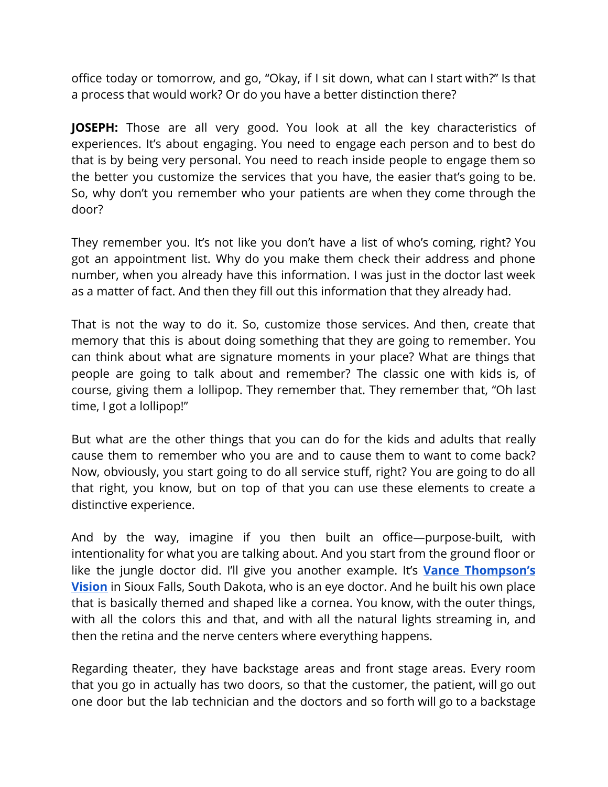office today or tomorrow, and go, "Okay, if I sit down, what can I start with?" Is that a process that would work? Or do you have a better distinction there?

**JOSEPH:** Those are all very good. You look at all the key characteristics of experiences. It's about engaging. You need to engage each person and to best do that is by being very personal. You need to reach inside people to engage them so the better you customize the services that you have, the easier that's going to be. So, why don't you remember who your patients are when they come through the door?

They remember you. It's not like you don't have a list of who's coming, right? You got an appointment list. Why do you make them check their address and phone number, when you already have this information. I was just in the doctor last week as a matter of fact. And then they fill out this information that they already had.

That is not the way to do it. So, customize those services. And then, create that memory that this is about doing something that they are going to remember. You can think about what are signature moments in your place? What are things that people are going to talk about and remember? The classic one with kids is, of course, giving them a lollipop. They remember that. They remember that, "Oh last time, I got a lollipop!"

But what are the other things that you can do for the kids and adults that really cause them to remember who you are and to cause them to want to come back? Now, obviously, you start going to do all service stuff, right? You are going to do all that right, you know, but on top of that you can use these elements to create a distinctive experience.

And by the way, imagine if you then built an office—purpose-built, with intentionality for what you are talking about. And you start from the ground floor or like the jungle doctor did. I'll give you another example. It's **Vance [Thompson's](https://vancethompsonvision.com/) [Vision](https://vancethompsonvision.com/)** in Sioux Falls, South Dakota, who is an eye doctor. And he built his own place that is basically themed and shaped like a cornea. You know, with the outer things, with all the colors this and that, and with all the natural lights streaming in, and then the retina and the nerve centers where everything happens.

Regarding theater, they have backstage areas and front stage areas. Every room that you go in actually has two doors, so that the customer, the patient, will go out one door but the lab technician and the doctors and so forth will go to a backstage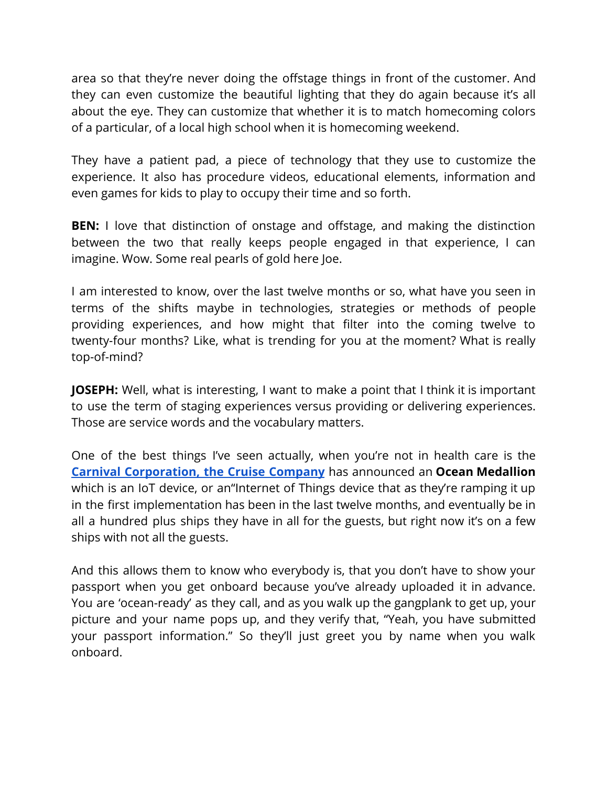area so that they're never doing the offstage things in front of the customer. And they can even customize the beautiful lighting that they do again because it's all about the eye. They can customize that whether it is to match homecoming colors of a particular, of a local high school when it is homecoming weekend.

They have a patient pad, a piece of technology that they use to customize the experience. It also has procedure videos, educational elements, information and even games for kids to play to occupy their time and so forth.

**BEN:** I love that distinction of onstage and offstage, and making the distinction between the two that really keeps people engaged in that experience, I can imagine. Wow. Some real pearls of gold here Joe.

I am interested to know, over the last twelve months or so, what have you seen in terms of the shifts maybe in technologies, strategies or methods of people providing experiences, and how might that filter into the coming twelve to twenty-four months? Like, what is trending for you at the moment? What is really top-of-mind?

**JOSEPH:** Well, what is interesting, I want to make a point that I think it is important to use the term of staging experiences versus providing or delivering experiences. Those are service words and the vocabulary matters.

One of the best things I've seen actually, when you're not in health care is the **Carnival [Corporation,](http://www.carnivalcorp.com/) the Cruise Company** has announced an **Ocean Medallion** which is an IoT device, or an"Internet of Things device that as they're ramping it up in the first implementation has been in the last twelve months, and eventually be in all a hundred plus ships they have in all for the guests, but right now it's on a few ships with not all the guests.

And this allows them to know who everybody is, that you don't have to show your passport when you get onboard because you've already uploaded it in advance. You are 'ocean-ready' as they call, and as you walk up the gangplank to get up, your picture and your name pops up, and they verify that, "Yeah, you have submitted your passport information." So they'll just greet you by name when you walk onboard.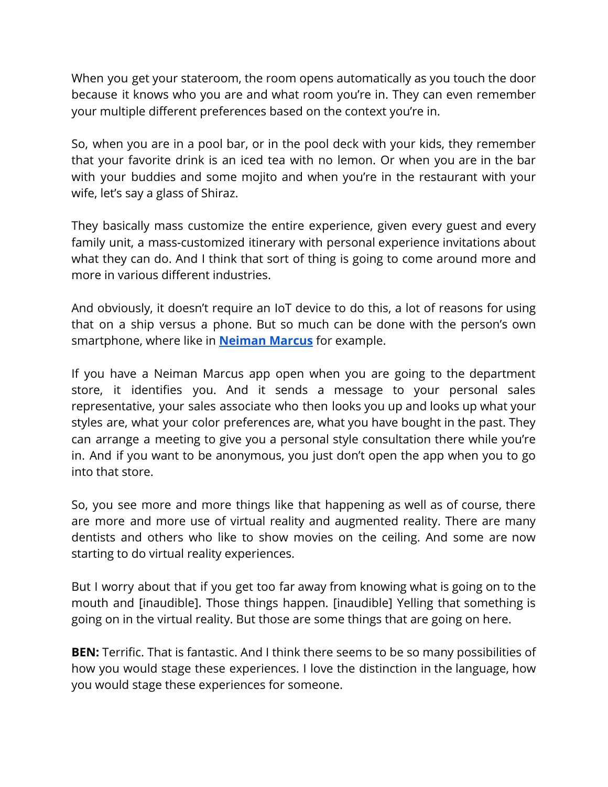When you get your stateroom, the room opens automatically as you touch the door because it knows who you are and what room you're in. They can even remember your multiple different preferences based on the context you're in.

So, when you are in a pool bar, or in the pool deck with your kids, they remember that your favorite drink is an iced tea with no lemon. Or when you are in the bar with your buddies and some mojito and when you're in the restaurant with your wife, let's say a glass of Shiraz.

They basically mass customize the entire experience, given every guest and every family unit, a mass-customized itinerary with personal experience invitations about what they can do. And I think that sort of thing is going to come around more and more in various different industries.

And obviously, it doesn't require an IoT device to do this, a lot of reasons for using that on a ship versus a phone. But so much can be done with the person's own smartphone, where like in **[Neiman Marcus](https://www.neimanmarcus.com/)** for example.

If you have a Neiman Marcus app open when you are going to the department store, it identifies you. And it sends a message to your personal sales representative, your sales associate who then looks you up and looks up what your styles are, what your color preferences are, what you have bought in the past. They can arrange a meeting to give you a personal style consultation there while you're in. And if you want to be anonymous, you just don't open the app when you to go into that store.

So, you see more and more things like that happening as well as of course, there are more and more use of virtual reality and augmented reality. There are many dentists and others who like to show movies on the ceiling. And some are now starting to do virtual reality experiences.

But I worry about that if you get too far away from knowing what is going on to the mouth and [inaudible]. Those things happen. [inaudible] Yelling that something is going on in the virtual reality. But those are some things that are going on here.

**BEN:** Terrific. That is fantastic. And I think there seems to be so many possibilities of how you would stage these experiences. I love the distinction in the language, how you would stage these experiences for someone.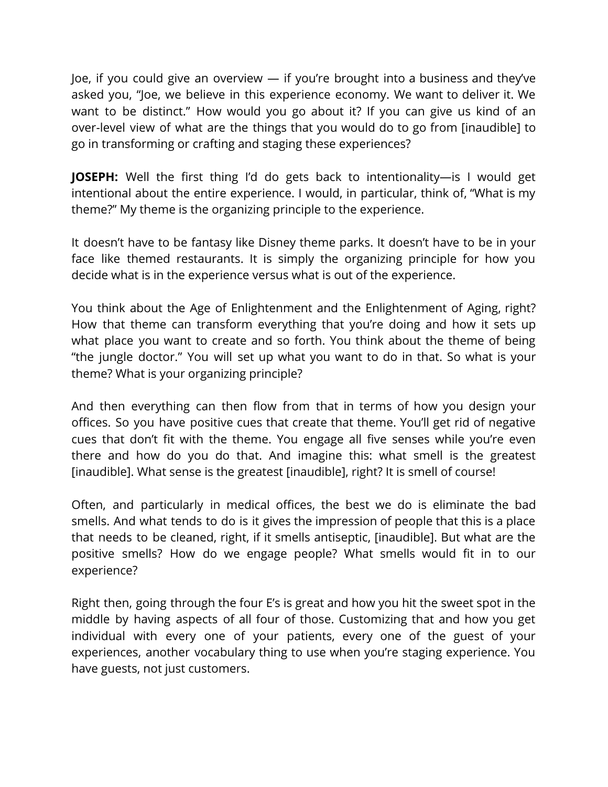Joe, if you could give an overview — if you're brought into a business and they've asked you, "Joe, we believe in this experience economy. We want to deliver it. We want to be distinct." How would you go about it? If you can give us kind of an over-level view of what are the things that you would do to go from [inaudible] to go in transforming or crafting and staging these experiences?

**JOSEPH:** Well the first thing I'd do gets back to intentionality—is I would get intentional about the entire experience. I would, in particular, think of, "What is my theme?" My theme is the organizing principle to the experience.

It doesn't have to be fantasy like Disney theme parks. It doesn't have to be in your face like themed restaurants. It is simply the organizing principle for how you decide what is in the experience versus what is out of the experience.

You think about the Age of Enlightenment and the Enlightenment of Aging, right? How that theme can transform everything that you're doing and how it sets up what place you want to create and so forth. You think about the theme of being "the jungle doctor." You will set up what you want to do in that. So what is your theme? What is your organizing principle?

And then everything can then flow from that in terms of how you design your offices. So you have positive cues that create that theme. You'll get rid of negative cues that don't fit with the theme. You engage all five senses while you're even there and how do you do that. And imagine this: what smell is the greatest [inaudible]. What sense is the greatest [inaudible], right? It is smell of course!

Often, and particularly in medical offices, the best we do is eliminate the bad smells. And what tends to do is it gives the impression of people that this is a place that needs to be cleaned, right, if it smells antiseptic, [inaudible]. But what are the positive smells? How do we engage people? What smells would fit in to our experience?

Right then, going through the four E's is great and how you hit the sweet spot in the middle by having aspects of all four of those. Customizing that and how you get individual with every one of your patients, every one of the guest of your experiences, another vocabulary thing to use when you're staging experience. You have guests, not just customers.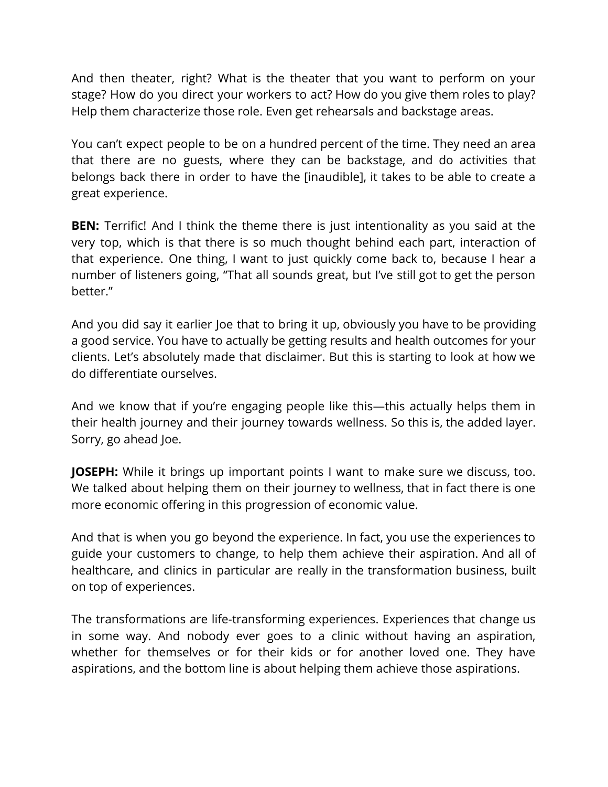And then theater, right? What is the theater that you want to perform on your stage? How do you direct your workers to act? How do you give them roles to play? Help them characterize those role. Even get rehearsals and backstage areas.

You can't expect people to be on a hundred percent of the time. They need an area that there are no guests, where they can be backstage, and do activities that belongs back there in order to have the [inaudible], it takes to be able to create a great experience.

**BEN:** Terrific! And I think the theme there is just intentionality as you said at the very top, which is that there is so much thought behind each part, interaction of that experience. One thing, I want to just quickly come back to, because I hear a number of listeners going, "That all sounds great, but I've still got to get the person better."

And you did say it earlier Joe that to bring it up, obviously you have to be providing a good service. You have to actually be getting results and health outcomes for your clients. Let's absolutely made that disclaimer. But this is starting to look at how we do differentiate ourselves.

And we know that if you're engaging people like this—this actually helps them in their health journey and their journey towards wellness. So this is, the added layer. Sorry, go ahead Joe.

**JOSEPH:** While it brings up important points I want to make sure we discuss, too. We talked about helping them on their journey to wellness, that in fact there is one more economic offering in this progression of economic value.

And that is when you go beyond the experience. In fact, you use the experiences to guide your customers to change, to help them achieve their aspiration. And all of healthcare, and clinics in particular are really in the transformation business, built on top of experiences.

The transformations are life-transforming experiences. Experiences that change us in some way. And nobody ever goes to a clinic without having an aspiration, whether for themselves or for their kids or for another loved one. They have aspirations, and the bottom line is about helping them achieve those aspirations.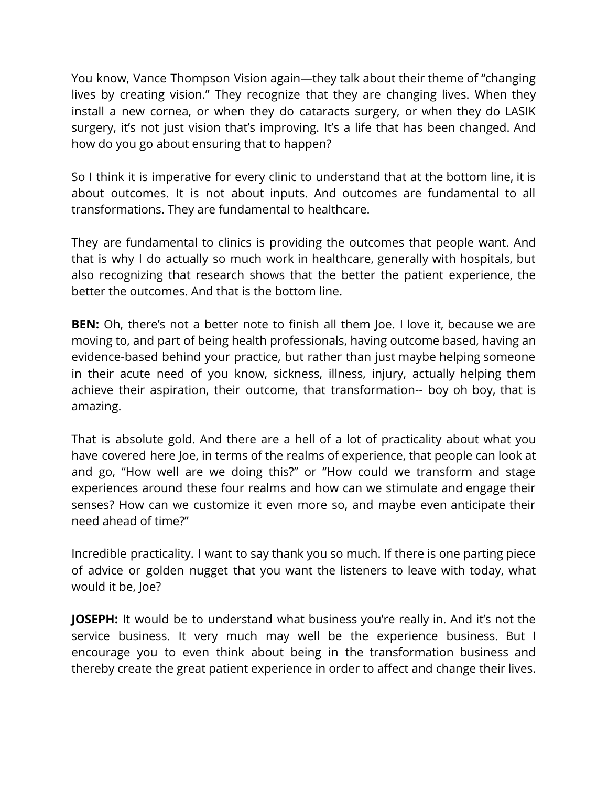You know, Vance Thompson Vision again—they talk about their theme of "changing lives by creating vision." They recognize that they are changing lives. When they install a new cornea, or when they do cataracts surgery, or when they do LASIK surgery, it's not just vision that's improving. It's a life that has been changed. And how do you go about ensuring that to happen?

So I think it is imperative for every clinic to understand that at the bottom line, it is about outcomes. It is not about inputs. And outcomes are fundamental to all transformations. They are fundamental to healthcare.

They are fundamental to clinics is providing the outcomes that people want. And that is why I do actually so much work in healthcare, generally with hospitals, but also recognizing that research shows that the better the patient experience, the better the outcomes. And that is the bottom line.

**BEN:** Oh, there's not a better note to finish all them Joe. I love it, because we are moving to, and part of being health professionals, having outcome based, having an evidence-based behind your practice, but rather than just maybe helping someone in their acute need of you know, sickness, illness, injury, actually helping them achieve their aspiration, their outcome, that transformation-- boy oh boy, that is amazing.

That is absolute gold. And there are a hell of a lot of practicality about what you have covered here Joe, in terms of the realms of experience, that people can look at and go, "How well are we doing this?" or "How could we transform and stage experiences around these four realms and how can we stimulate and engage their senses? How can we customize it even more so, and maybe even anticipate their need ahead of time?"

Incredible practicality. I want to say thank you so much. If there is one parting piece of advice or golden nugget that you want the listeners to leave with today, what would it be, Joe?

**JOSEPH:** It would be to understand what business you're really in. And it's not the service business. It very much may well be the experience business. But I encourage you to even think about being in the transformation business and thereby create the great patient experience in order to affect and change their lives.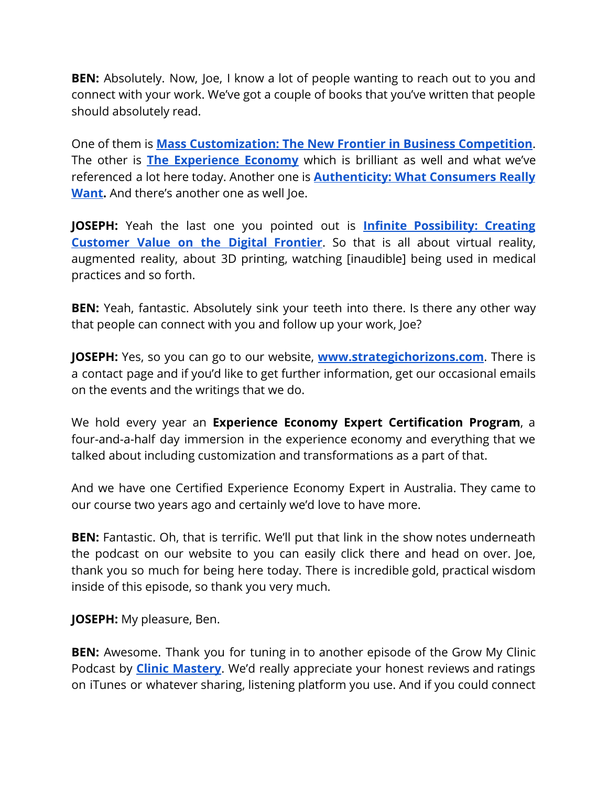**BEN:** Absolutely. Now, Joe, I know a lot of people wanting to reach out to you and connect with your work. We've got a couple of books that you've written that people should absolutely read.

One of them is **Mass [Customization:](https://www.amazon.com/Mass-Customization-Frontier-Business-Competition/dp/0875843727) The New Frontier in Business Competition**. The other is **The [Experience](https://www.amazon.com/Experience-Economy-Updated-Joseph-Pine/dp/1422161978) Economy** which is brilliant as well and what we've referenced a lot here today. Another one is **[Authenticity:](https://www.amazon.com/Authenticity-What-Consumers-Really-Want/dp/1591391458) What Consumers Really [Want.](https://www.amazon.com/Authenticity-What-Consumers-Really-Want/dp/1591391458)** And there's another one as well Joe.

**JOSEPH:** Yeah the last one you pointed out is **Infinite [Possibility:](https://www.amazon.com/Infinite-Possibility-Creating-Customer-Frontier/dp/160509563X) Creating [Customer](https://www.amazon.com/Infinite-Possibility-Creating-Customer-Frontier/dp/160509563X) Value on the Digital Frontier**. So that is all about virtual reality, augmented reality, about 3D printing, watching [inaudible] being used in medical practices and so forth.

**BEN:** Yeah, fantastic. Absolutely sink your teeth into there. Is there any other way that people can connect with you and follow up your work, Joe?

**JOSEPH:** Yes, so you can go to our website[,](http://www.strategichorizons.com/) **[www.strategichorizons.com](http://www.strategichorizons.com/)**. There is a contact page and if you'd like to get further information, get our occasional emails on the events and the writings that we do.

We hold every year an **Experience Economy Expert Certification Program**, a four-and-a-half day immersion in the experience economy and everything that we talked about including customization and transformations as a part of that.

And we have one Certified Experience Economy Expert in Australia. They came to our course two years ago and certainly we'd love to have more.

**BEN:** Fantastic. Oh, that is terrific. We'll put that link in the show notes underneath the podcast on our website to you can easily click there and head on over. Joe, thank you so much for being here today. There is incredible gold, practical wisdom inside of this episode, so thank you very much.

**JOSEPH:** My pleasure, Ben.

**BEN:** Awesome. Thank you for tuning in to another episode of the Grow My Clinic Podcast by **Clinic [Mastery](https://www.clinicmastery.com/)**. We'd really appreciate your honest reviews and ratings on iTunes or whatever sharing, listening platform you use. And if you could connect